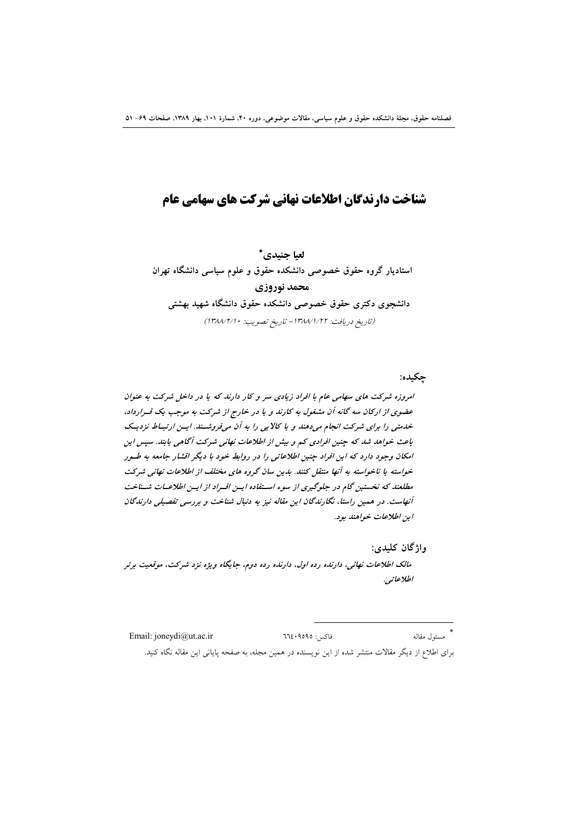# شناخت دارندگان اطلاعات نهانی شرکت های سهامی عام

لعيا جنيدي\* استادیار گروه حقوق خصوصی دانشکده حقوق و علوم سیاسی دانشگاه تهران محمد نوروزي دانشجوی دکتری حقوق خصوصی دانشکده حقوق دانشگاه شهید بهشتی (تاريخ دريافت: ١٣٨٧/١/٢٢ - تاريخ تصويب: ١٣٨٨/٢/١)

جكىدە:

امروزه شرکت های سهامی عام با افراد زیادی سر و کار دارند که یا در داخل شرکت به عنوان عضوی از ارکان سه گانه آن مشغول به کارند و یا در خارج از شرکت به موجب یک قسرارداد، خدمتی را برای شرکت انجام میدهند و یا کالایی را به آن میفروشتند. ایسن ارتباط نزدیک باعث خواهد شد که چنین افرادی کم و بیش از اطلاعات نهانی شرکت آگاهی پابند. سپس این امکان وجود دارد که این افراد چنین اطلاعاتی را در روابط خود با دیگر اقشار جامعه به طور خواسته یا ناخواسته به آنها منتقل کنند. بدین سان گروه های مختلف از اطلاعات نهانی شرکت مطلعند که نخستین گام در جلوگیری از سوء استفاده ایس افسراد از ایس اطلاعیات شیناخت آنهاست. در همین راستا، نگارندگان این مقاله نیز به دنبال شناخت و بررسی تفصیلی دارندگان ان اطلاعات خواهند بود.

واژگان کليدي:

مالک اطلاعات نهانی، دارنده رده اول، دارنده رده دوم، جایگاه ویژه نزد شرکت، موقعیت برتر اطلاعاتبي.

\*<br>مسئول مقاله Email: joneydi@ut.ac.ir فاكس: ٩٥٩٥: ٦٦٤ برای اطلاع از دیگر مقالات منتشر شده از این نویسنده در همین مجله، به صفحه پایانی این مقاله نگاه کنید.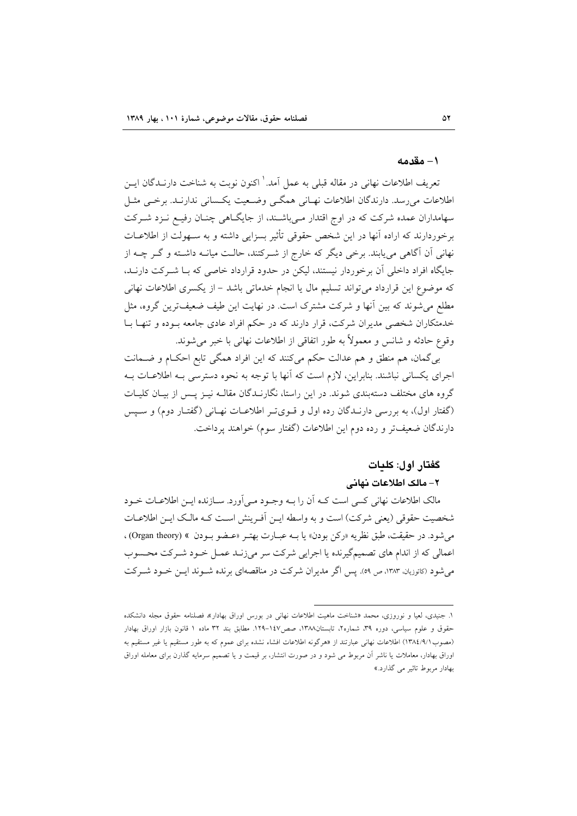#### ۱– مقدمه

تعریف اطلاعات نهانی در مقاله قبلی به عمل آمد. ٰ اکنون نوبت به شناخت دارنــدگان ایــن اطلاعات میرسد. دارندگان اطلاعات نهـانی همگـی وضـعیت یکـسانی ندارنـد. برخـی مثـل سهامداران عمده شرکت که در اوج اقتدار مـیباشـند، از جایگـاهی چنـان رفیـع نـزد شـرکت برخوردارند که اراده آنها در این شخص حقوقی تأثیر بسزایی داشته و به سـهولت از اطلاعــات نهانی آن آگاهی می یابند. برخی دیگر که خارج از شـرکتند، حالـت میانــه داشـته و گـر چــه از جایگاه افراد داخلی آن برخوردار نیستند، لیکن در حدود قرارداد خاصی که بـا شـرکت دارنــد، که موضوع این قرارداد می تواند تسلیم مال یا انجام خدماتی باشد – از یکسری اطلاعات نهانی مطلع می شوند که بین آنها و شرکت مشترک است. در نهایت این طیف ضعیفترین گروه، مثل خدمتکاران شخصی مدیران شرکت، قرار دارند که در حکم افراد عادی جامعه بـوده و تنهـا بـا وقوع حادثه و شانس و معمولاً به طور اتفاقی از اطلاعات نهانی با خبر میشوند.

بی گمان، هم منطق و هم عدالت حکم می کنند که این افراد همگی تابع احکام و ضـمانت اجرای یکسانی نباشند. بنابراین، لازم است که آنها با توجه به نحوه دسترسی بـه اطلاعــات بــه گروه های مختلف دستهبندی شوند. در این راستا، نگارنــدگان مقالــه نیــز پــس از بیــان کلیــات (گفتار اول)، به بررسی دارنـدگان رده اول و قـویتـر اطلاعـات نهـانی (گفتـار دوم) و سـيس دارندگان ضعیفتر و رده دوم این اطلاعات (گفتار سوم) خواهند پرداخت.

#### گفتار اول: كلمات

### ٢- مالک اطلاعات نهانی

مالک اطلاعات نهانی کسی است کـه اَن را بـه وجـود مـی|ورد. سـازنده ایـن اطلاعـات خـود شخصیت حقوقی (یعنی شرکت) است و به واسطه ایــن آفـرینش اسـت کــه مالـک ایــن اطلاعــات مي شود. در حقيقت، طبق نظريه «ركن بودن» يا بــه عبــارت بهتــر «عــضو بــودن » (Organ theory) ، اعمالی که از اندام های تصمیمگیرنده یا اجرایی شرکت سر میزنـد عمـل خـود شـرکت محـسوب می شود (کاتوزیان، ۱۳۸۳، ص ٥٩). پس اگر مدیران شرکت در مناقصهای برنده شـوند ایـن خـود شـرکت

۱. جنیدی، لعیا و نوروزی، محمد «شناخت ماهیت اطلاعات نهانی در بورس اوراق بهادار» فصلنامه حقوق مجله دانشکده حقوق و علوم سیاسی، دوره ۳۹، شماره۲، تابستان١٣٨٨، صص١٤٧-١٢٩. مطابق بند ٣٢ ماده ١ قانون بازار اوراق بهادار (مصوب١٣٨٤/٩/١) اطلاعات نهاني عبارتند از «هرگونه اطلاعات افشاء نشده براي عموم كه به طور مستقيم يا غير مستقيم به اوراق بهادار، معاملات یا ناشر آن مربوط می شود و در صورت انتشار، بر قیمت و یا تصمیم سرمایه گذارن برای معامله اوراق بهادار مربوط تاثير مي گذارد.»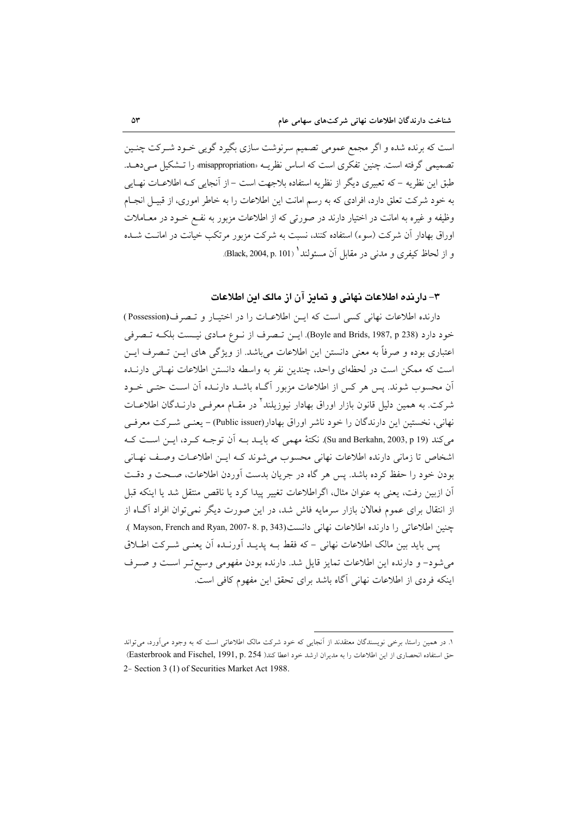است که برنده شده و اگر مجمع عمومی تصمیم سرنوشت سازی بگیرد گویی خـود شـرکت چنـین تصمیمی گرفته است. چنین تفکری است که اساس نظریـه «misappropriation» را تـشکیل مـی دهـلـ. طبق این نظریه – که تعبیری دیگر از نظریه استفاده بلاجهت است – از آنجایی کـه اطلاعــات نهــایی به خود شرکت تعلق دارد، افرادی که به رسم امانت این اطلاعات را به خاطر اموری، از قبیـل انجـام وظیفه و غیره به امانت در اختیار دارند در صورتی که از اطلاعات مزبور به نفسم خـود در معـاملات اوراق بهادار آن شرکت (سوء) استفاده کنند، نسبت به شرکت مزبور مرتکب خیانت در امانــت شــده و از لحاظ کیفری و مدنی در مقابل آن مسئولند' (Black, 2004, p. 101).

### ۳– دارنده اطلاعات نهانی و تمایز آن از مالک این اطلاعات

دارنده اطلاعات نهانی کسی است که این اطلاعیات را در اختیبار و تنصرف(Possession) خود دارد (Boyle and Brids, 1987, p 238). اين تصرف از نوع مـادي نيـست بلكـه تـصرفي اعتباری بوده و صرفاً به معنی دانستن این اطلاعات میباشد. از ویژگی های ایــن تــصرف ایــن است كه ممكن است در لحظهاي واحد، چندين نفر به واسطه دانستن اطلاعات نهـاني دارنــده آن محسوب شوند. پس هر کس از اطلاعات مزبور آگـاه باشــد دارنــده آن اســت حتــی خــود شرکت. به همین دلیل قانون بازار اوراق بهادار نیوزیلند<sup>۲</sup> در مقــام معرفــی دارنــدگان اطلاعــات نهانی، نخستین این دارندگان را خود ناشر اوراق بهادار(Public issuer) – یعنبی شبرکت معرفبی می كند (Su and Berkahn, 2003, p 19). نكتهٔ مهمی كه بایـد بـه آن توجـه كـرد، ایـن اسـت كـه اشخاص تا زمانی دارنده اطلاعات نهانی محسوب می شوند کـه ایــز اطلاعــات وصـف نهــانـه بودن خود را حفظ کرده باشد. پس هر گاه در جریان بدست آوردن اطلاعات، صبحت و دقـت أن ازبين رفت، يعني به عنوان مثال، اگراطلاعات تغيير پيدا كرد يا ناقص منتقل شد يا اينكه قبل از انتقال برای عموم فعالان بازار سرمایه فاش شد، در این صورت دیگر نمی توان افراد آگIه از جنين اطلاعاتي را دارنده اطلاعات نهاني دانست(8. p, 343-2007 (Mayson, French and Ryan, 2007). پس باید بین مالک اطلاعات نهانی – که فقط بــه پدیــد آورنــده اَن یعنــی شــرکت اطــلاق می شود- و دارنده این اطلاعات تمایز قایل شد. دارنده بودن مفهومی وسیع تـر اسـت و صـرف اینکه فردی از اطلاعات نهانی آگاه باشد برای تحقق این مفهوم کافی است.

١. در همین راستا، برخی نویسندگان معتقدند از آنجایی که خود شرکت مالک اطلاعاتی است که به وجود میآورد، می تواند حق استفاده انحصاري از اين اطلاعات را به مديران ارشد خود اعطا كند( Easterbrook and Fischel, 1991, p. 254) 2- Section 3 (1) of Securities Market Act 1988.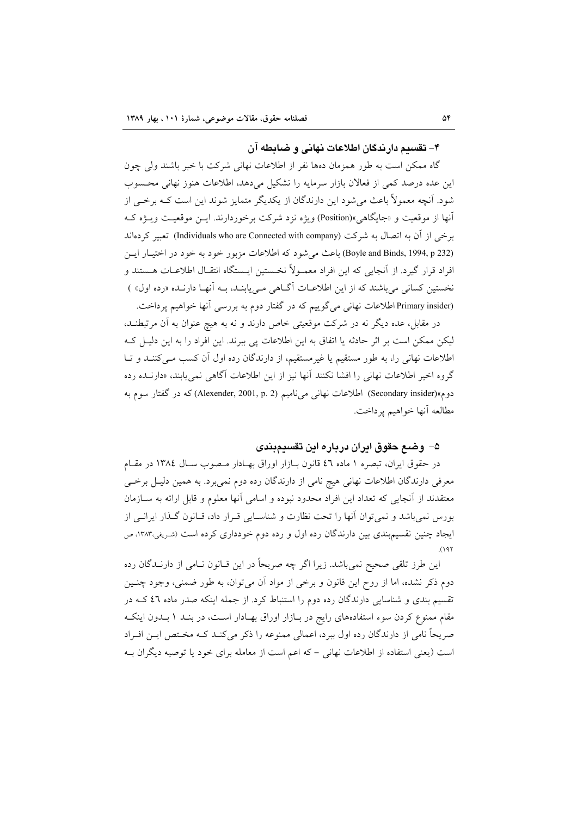#### ۴- تقسیم دار ندگان اطلاعات نهانی و ضیابطه آن

گاه ممکن است به طور همزمان دهها نفر از اطلاعات نهانی شرکت با خبر باشند ولی چون این عده درصد کمی از فعالان بازار سرمایه را تشکیل میدهد، اطلاعات هنوز نهانی محسوب شود. آنچه معمولاً باعث میشود این دارندگان از یکدیگر متمایز شوند این است کـه برخــی از آنها از موقعیت و «جایگاهی»(Position) ویژه نزد شرکت برخوردارند. ایــن موقعیــت ویــژه کــه برخی از آن به اتصال به شرکت (Individuals who are Connected with company) تعبیر کردهاند (Boyle and Binds, 1994, p 232) باعث می شود که اطلاعات مزبور خود به خود در اختیار ایس افراد قرار گیرد. از آنجایی که این افراد معمـولاً نخـستین ایـستگاه انتقـال اطلاعـات هـستند و نخستین کسانی می باشند که از این اطلاعـات آگــاهی مــی پابنــد، بــه آنهــا دارنــده «رده اول» ) (Primary insider اطلاعات نهانی می گوییم که در گفتار دوم به بررسی آنها خواهیم پرداخت.

در مقابل، عده دیگر نه در شرکت موقعیتی خاص دارند و نه به هیچ عنوان به آن مرتبطنـد، لیکن ممکن است بر اثر حادثه یا اتفاق به این اطلاعات یی ببرند. این افراد را به این دلیـل کـه اطلاعات نهانی را، به طور مستقیم یا غیرمستقیم، از دارندگان رده اول آن کسب مـیکننـد و تـا گروه اخیر اطلاعات نهانی را افشا نکنند آنها نیز از این اطلاعات آگاهی نمی یابند، «دارنـده رده دوم»(Secondary insider) اطلاعات نهانبي مي ناميم (Alexender, 2001, p. 2) كه در گفتار سوم به مطالعه آنها خواهيم يرداخت.

#### ۵– وضـع حقوق ايران درباره اين تقسيمبندي

در حقوق ايران، تبصره ١ ماده ٤٦ قانون بـازار اوراق بهـادار مـصوب سـال ١٣٨٤ در مقـام معرفی دارندگان اطلاعات نهانی هیچ نامی از دارندگان رده دوم نمیبرد. به همین دلیـل برخــی معتقدند از آنجایی که تعداد این افراد محدود نبوده و اسامی آنها معلوم و قابل ارائه به سـازمان بورس نمی باشد و نمی توان آنها را تحت نظارت و شناسـایی قـرار داد، قـانون گـذار ایرانـی از ایجاد چنین نقسیم بندی بین دارندگان رده اول و رده دوم خودداری کرده است (شریفی،۱۳۸۳، ص  $(191)$ 

این طرز تلقی صحیح نمیباشد. زیرا اگر چه صریحاً در این قــانون نــامی از دارنــدگان رده دوم ذکر نشده، اما از روح این قانون و برخی از مواد آن میتوان، به طور ضمنی، وجود چنـین تقسیم بندی و شناسایی دارندگان رده دوم را استنباط کرد. از جمله اینکه صدر ماده ٤٦ کــه در مقام ممنوع کردن سوء استفادههای رایج در بـازار اوراق بهـادار اسـت، در بنـد ١ بـدون اینکـه صریحاً نامی از دارندگان رده اول ببرد، اعمالی ممنوعه را ذکر می کنـد کـه مخـتص ایـن افـراد است (یعنی استفاده از اطلاعات نهانی – که اعم است از معامله برای خود یا توصیه دیگران بـه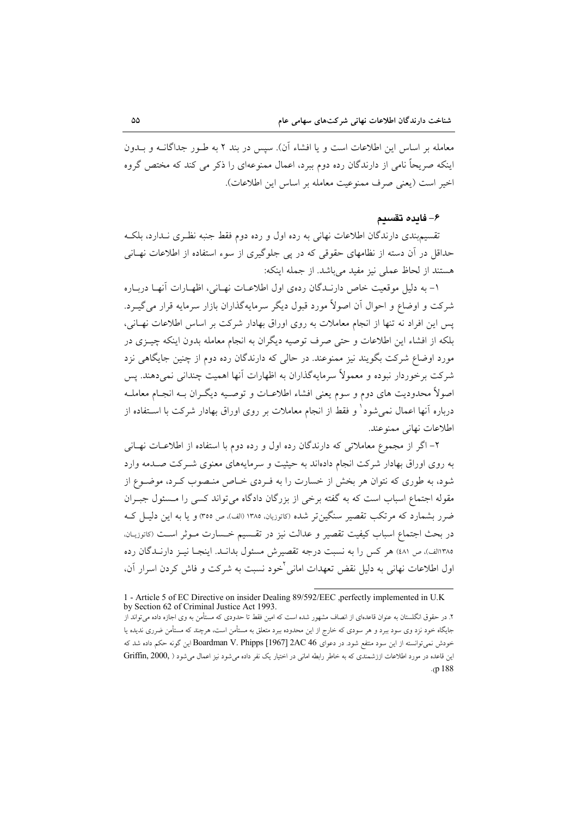معامله بر اساس این اطلاعات است و یا افشاء آن). سپس در بند ۲ به طـور جداگانــه و بــدون اینکه صریحاً نامی از دارندگان رده دوم ببرد، اعمال ممنوعهای را ذکر می کند که مختص گروه اخير است (يعني صرف ممنوعيت معامله بر اساس اين اطلاعات).

#### ۶– فايده تقسيم

تقسیم.بندی دارندگان اطلاعات نهانی به رده اول و رده دوم فقط جنبه نظـری نــدارد، بلکــه حداقل در آن دسته از نظامهای حقوقی که در پی جلوگیری از سوء استفاده از اطلاعات نهـانی هستند از لحاظ عملي نيز مفيد مي باشد. از جمله اينكه:

١- به دليل موقعيت خاص دارنـدگان ردهي اول اطلاعـات نهـاني، اظهـارات آنهـا دربـاره شرکت و اوضاع و احوال آن اصولاً مورد قبول دیگر سرمایهگذاران بازار سرمایه قرار می گیـرد. يس اين افراد نه تنها از انجام معاملات به روى اوراق بهادار شركت بر اساس اطلاعات نهـانى، بلکه از افشاء این اطلاعات و حتی صرف توصیه دیگران به انجام معامله بدون اینکه چیـزی در مورد اوضاع شرکت بگویند نیز ممنوعند. در حالی که دارندگان رده دوم از چنین جایگاهی نزد شرکت برخوردار نبوده و معمولاً سرمایهگذاران به اظهارات آنها اهمیت چندانی نمی،دهند. پس اصولاً محدودیت های دوم و سوم یعنی افشاء اطلاعـات و توصـیه دیگـران بــه انجــام معاملــه درباره آنها اعمال نمی شود و فقط از انجام معاملات بر روی اوراق بهادار شرکت با اســتفاده از اطلاعات نهاني ممنوعند.

۲– اگر از مجموع معاملاتی که دارندگان رده اول و رده دوم با استفاده از اطلاعــات نهــانـی به روی اوراق بهادار شرکت انجام دادهاند به حیثیت و سرمایههای معنوی شـرکت صـدمه وارد شود، به طوری که نتوان هر بخش از خسارت را به فـردی خـاص منـصوب کـرد، موضـوع از مقوله اجتماع اسباب است که به گفته برخی از بزرگان دادگاه می تواند کسی را مسئول جبـران ضرر بشمارد که مرتکب تقصیر سنگین تر شده (کاتوزیان، ۱۳۸۵ (الف)، ص ۳۵۵) و یا به این دلیـل کـه در بحث اجتماع اسباب كيفيت تقصير و عدالت نيز در تقـسيم خـسارت مـوثر اسـت (كاتوزيـان. ١٣٨٥الف)، ص ٤٨١) هر كس را به نسبت درجه تقصيرش مسئول بدانـد. اينجـا نيـز دارنـدگان رده اول اطلاعات نهان<sub>ی</sub> به دلیل نقض تعهدات امان<sub>ی</sub> <sup>ن</sup>خود نسبت به شرکت و فاش کردن اسرار آن،

<sup>1 -</sup> Article 5 of EC Directive on insider Dealing 89/592/EEC ,perfectly implemented in U.K. by Section 62 of Criminal Justice Act 1993.

۲. در حقوق انگلستان به عنوان قاعدهای از انصاف مشهور شده است که امین فقط تا حدودی که مستأمن به وی اجازه داده میتواند از جایگاه خود نزد وی سود ببرد و هر سودی که خارج از این محدوده ببرد متعلق به مستأمن است، هرچند که مستأمن ضرری ندیده یا خودش نمی توانسته از این سود منتفع شود. در دعوای 2AC 46 [1967] Boardman V. Phipps این گونه حکم داده شد که این قاعده در مورد اطلاعات اززشمندی که به خاطر رابطه امانی در اختیار یک نفر داده می شود نیز اعمال می شود ( ,Griffin, 2000  $(p.188)$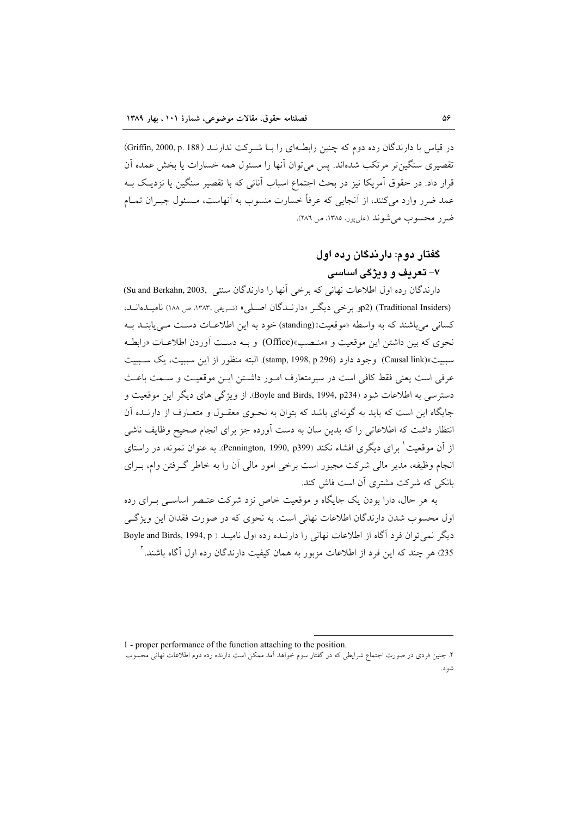در قیاس با دارندگان رده دوم که چنین رابطهای را بـا شـرکت ندارنـد (Griffin, 2000, p. 188) تقصیری سنگین تر مرتکب شدهاند. پس می توان آنها را مسئول همه خسارات یا بخش عمده آن قرار داد. در حقوق آمریکا نیز در بحث اجتماع اسباب آنانی که با تقصیر سنگین یا نزدیـک بــه عمد ضرر وارد می کنند، از آنجایی که عرفاً خسارت منسوب به آنهاست، مـسئول جب ان تمـام ضر ر محسوب می شوند (علی پور، ۱۳۸۵، ص ۲۸٦).

# گفتار دوم: دارندگان رده اول ۷- تعریف و ویژگی اساسی

دارندگان رده اول اطلاعات نهانی که برخی آنها را دارندگان سنتی ,Su and Berkahn, 2003 (Traditional Insiders) (2p بو خی دیگر «دارنبدگان اصلی» (شریفی،۱۳۸۳، ص ۱۸۸) نامیبدهانید، کسانی می باشند که به واسطه «موقعیت»(standing) خود به این اطلاعـات دسـت مـی پابنــد بــه نحوي كه بين داشتن اين موقعيت و «منـصب»(Office) و بـه دسـت آوردن اطلاعـات «رابطـه سبيت»(Causal link) وجود دارد (1998, p 296) (stamp, 1998, p. البته منظور از اين سببيت، يك سببيت عرفي است يعني فقط كافي است در سيرمتعارف امـور داشـتن ايـن موقعيـت و سـمت باعـث دسترسی به اطلاعات شود (Boyle and Birds, 1994, p234). از ویژگی های دیگر این موقعیت و جایگاه این است که باید به گونهای باشد که بتوان به نحـوی معقـول و متعـارف از دارنــده آن انتظار داشت که اطلاعاتی را که بدین سان به دست آورده جز برای انجام صحیح وظایف ناشی از آن موقعیت ٰ برای دیگری افشاء نکند (Pennington, 1990, p399). به عنوان نمونه، در راستای انجام وظیفه، مدیر مالی شرکت مجبور است برخی امور مالی آن را به خاطر گـرفتن وام، بـرای بانکی که شرکت مشتری آن است فاش کند.

به هر حال، دارا بودن یک جایگاه و موقعیت خاص نزد شرکت عنـصر اساسـی بـرای رده اول محسوب شدن دارندگان اطلاعات نهانی است. به نحوی که در صورت فقدان این ویژگے دیگر نمی توان فرد آگاه از اطلاعات نهانی را دارنــده رده اول نامیــد ( Boyle and Birds, 1994, p 235) هر چند که این فرد از اطلاعات مزبور به همان کیفیت دارندگان رده اول آگاه باشند. آ

1 - proper performance of the function attaching to the position.

۲. چنین فردی در صورت اجتماع شرایطی که در گفتار سوم خواهد آمد ممکن است دارنده رده دوم اطلاعات نهانی محسوب شود.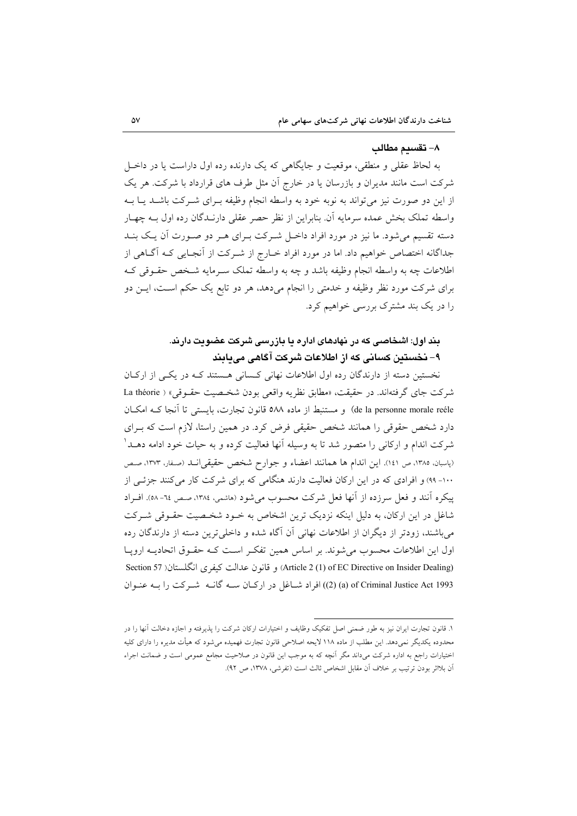#### ٨– تقسدم مطالب

به لحاظ عقلی و منطقی، موقعیت و جایگاهی که یک دارنده رده اول داراست یا در داخـل شرکت است مانند مدیران و بازرسان یا در خارج أن مثل طرف های قرارداد با شرکت. هر یک از این دو صورت نیز میتواند به نوبه خود به واسطه انجام وظیفه بـرای شـرکت باشـلد یـا بـه واسطه تملک بخش عمده سرمایه آن. بنابراین از نظر حصر عقلی دارنــدگان رده اول بــه چهــار دسته تقسیم می شود. ما نیز در مورد افراد داخـل شـرکت بـرای هـر دو صـورت آن یـک بنـد جداگانه اختصاص خواهیم داد. اما در مورد افراد خـارج از شـرکت از آنجـایی کـه آگــاهی از اطلاعات چه به واسطه انجام وظيفه باشد و چه به واسطه تملک سـرمايه شـخص حقـوقي کـه برای شرکت مورد نظر وظیفه و خدمتی را انجام میدهد، هر دو تابع یک حکم اسـت، ایــن دو را در یک بند مشترک بررسی خواهیم کرد.

# بند اول: اشخاصی که در نهادهای اداره یا بازرسی شرکت عضویت دارند. ۹– نخستین کسانی که از اطلاعات شرکت آگاهی می بایند

نخستین دسته از دارندگان رده اول اطلاعات نهانی کسانی هستند کـه در یکـی از ارکـان شركت جاي گرفتهاند. در حقيقت، «مطابق نظريه واقعي بودن شخصيت حقـوقي» ( La théorie de la personne morale reéle) و مستنبط از ماده ٥٨٨ قانون تجارت، بايستي تا آنجا كـه امكـان دارد شخص حقوقی را همانند شخص حقیقی فرض کرد. در همین راستا، لازم است که بـرای شرکت اندام و ارکانی را متصور شد تا به وسیله آنها فعالیت کرده و به حیات خود ادامه دهــد ْ (پاسبان، ١٣٨٥، ص ١٤١). اين اندام ها همانند اعضاء و جوارح شخص حقيقي انـد (صفار، ١٣٧٣، صـص ۱۰۰- ۹۹) و افرادی که در این ارکان فعالیت دارند هنگامی که برای شرکت کار میکنند جزئی از پیکره آنند و فعل سرزده از آنها فعل شرکت محسوب می شود (هاشمی، ۱۳۸٤، صص ٦٤- ٥٨). افـراد شاغل در این ارکان، به دلیل اینکه نزدیک ترین اشخاص به خـود شخـصیت حقـوقی شـرکت می باشند، زودتر از دیگران از اطلاعات نهانی آن آگاه شده و داخلی ترین دسته از دارندگان رده اول این اطلاعات محسوب میشوند. بر اساس همین تفکر است کـه حقـوق اتحادیــه ارویــا (Article 2 (1) of EC Directive on Insider Dealing) و قانون عدالت كيفري انگلستان( Section 57 (2) (a) of Criminal Justice Act 1993) افراد شباغل در اركبان سبه گانيه شيركت را بيه عنبوان

١. قانون تجارت ايران نيز به طور ضمني اصل تفكيك وظايف و اختيارات اركان شركت را يذيرفته و اجازه دخالت آنها را در محدوده یکدیگر نمی دهد. این مطلب از ماده ۱۱۸ لایحه اصلاحی قانون تجارت فهمیده می شود که هیأت مدیره را دارای کلیه اختیارات راجع به اداره شرکت میداند مگر آنچه که به موجب این قانون در صلاحیت مجامع عمومی است و ضمانت اجراء أن بلااثر بودن ترتيب بر خلاف أن مقابل اشخاص ثالث است (تفرشي، ١٣٧٨، ص ٩٢).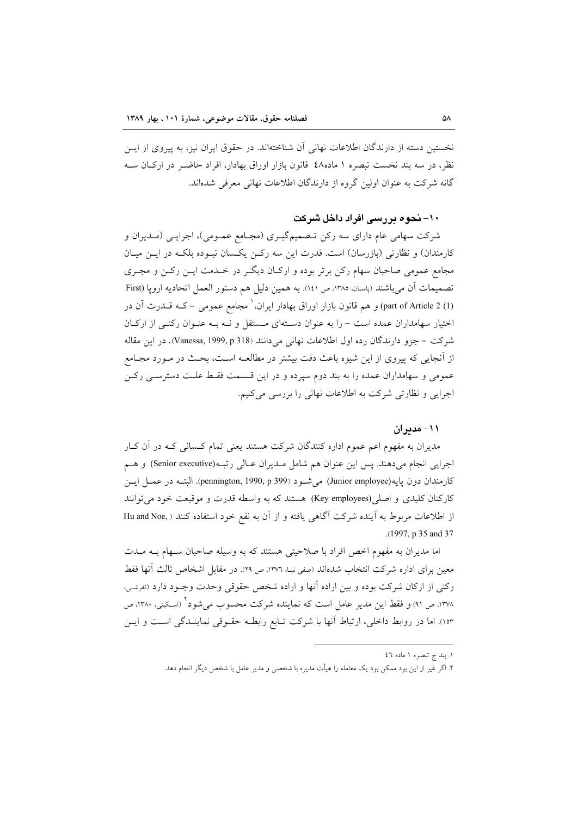نخستین دسته از دارندگان اطلاعات نهانی آن شناختهاند. در حقوق ایران نیز، به پیروی از ایــن نظر، در سه بند نخست تبصره ۱ ماده۶۸ قانون بازار اوراق بهادار، افراد حاضـر در اركـان سـه گانه شرکت به عنوان اولین گروه از دارندگان اطلاعات نهانی معرفی شدهاند.

### ۱۰- نحوه در رسی افراد داخل شرکت

شرکت سهامی عام دارای سه رکن تـصمیمگیـری (مجـامع عمـومی)، اجرایـی (مـدیران و کارمندان) و نظارتی (بازرسان) است. قدرت این سه رکن یکسان نبوده بلکـه در ایـن میـان مجامع عمومی صاحبان سهام رکن برتر بوده و ارکـان دیگـر در خـدمت ایـن رکـن و مجـری تصمیمات آن میباشند (پاسبان، ۱۳۸۵، ص ۱٤۱). به همین دلیل هم دستور العمل اتحادیه اروپا (First (1) part of Article 2) و هم قانون بازار اوراق بهادار ایران، ٰ مجامع عمومی – کــه قــدرت آن در اختیار سهامداران عمده است – را به عنوان دستهای مستقل و نـه بـه عنـوان رکنـی از ارکـان شركت – جزو دارندگان رده اول اطلاعات نهاني مي دانند (Vanessa, 1999, p 318). در اين مقاله از اّنجایی که پیروی از این شیوه باعث دقت بیشتر در مطالعـه اسـت، بحـث در مـورد مجـامع عمومی و سهامداران عمده را به بند دوم سپرده و در این قـسمت فقـط علـت دسترسـی رکـن اجرایی و نظارتی شرکت به اطلاعات نهانی را بررسی میکنیم.

#### ١١- مدير ان

مدیران به مفهوم اعم عموم اداره کنندگان شرکت هستند یعنی تمام کـسانی کـه در آن کـار اجرايي انجام مي دهند. پس اين عنوان هم شامل مـديران عـالي رتبـه(Senior executive) و هـم كارمندان دون پايه(Junior employee) مي شـود (1990, p 399) (pennington, 1990, p.). البتــه در عمــل ايــن کارکنان کلیدی و اصلی(Key employees) هستند که به واسطه قدرت و موقیعت خود می توانند از اطلاعات مربوط به آینده شرکت آگاهی یافته و از آن به نفع خود استفاده کنند ( .Hu and Noe .(1997, p 35 and 37

اما مدیران به مفهوم اخص افراد با صلاحیتی هستند که به وسیله صاحبان سـهام بـه مـدت معين براي اداره شركت انتخاب شدهاند (صفى نيـا، ١٣٧٦، ص ٢٩). در مقابل اشخاص ثالث آنها فقط رکنی از ارکان شرکت بوده و بین اراده آنها و اراده شخص حقوقی وحدت وجـود دارد (تفرشـی، ۱۳۷۸، ص ۹۱) و فقط این مدیر عامل است که نماینده شرکت محسوب می شود<sup>۲</sup> (اسکینی، ۱۳۸۰، ص ١٥٣). اما در روابط داخلي، ارتباط آنها با شركت تـابع رابطـه حقـوقي نماينـدگي اسـت و ايـن

١. بند ج تبصره ١ ماده ٤٦

۲. اگر غیر از این بود ممکن بود یک معامله را هیأت مدیره با شخصی و مدیر عامل با شخص دیگر انجام دهد.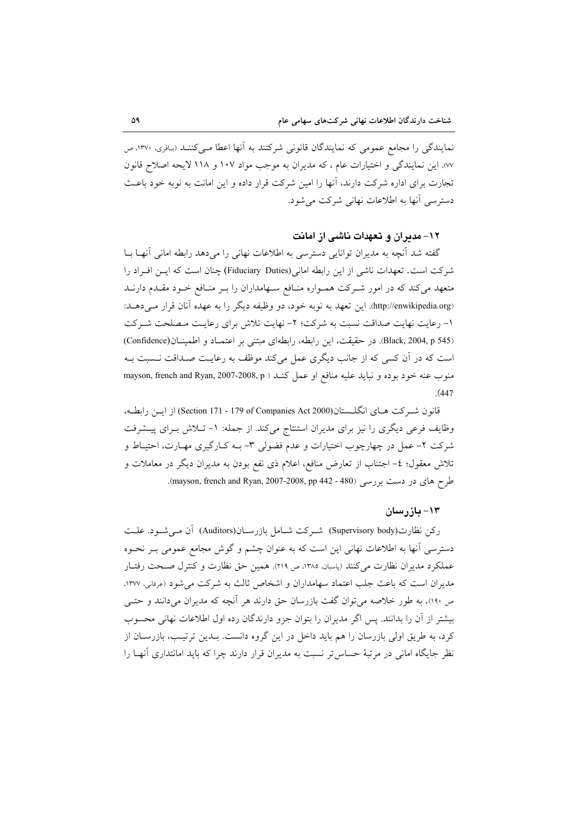نمایندگی را مجامع عمومی که نمایندگان قانونی شرکتند به آنها اعطا مـیکننـد (باقری، ۱۳۷۰، ص ٧٧). این نمایندگی و اختیارات عام ، که مدیران به موجب مواد ١٠٧ و ١١٨ لایحه اصلاح قانون تجارت برای اداره شرکت دارند، آنها را امین شرکت قرار داده و این امانت به نوبه خود باعث دسترسی آنها به اطلاعات نهانی شرکت می شود.

#### ۱۲– مدیران و تعهدات ناشی از امانت

گفته شد آنچه به مدیران توانایی دسترسی به اطلاعات نهانی را میدهد رابطه امانی آنهـا بــا شركت است. تعهدات ناشي از اين رابطه اماني (Fiduciary Duties) چنان است كه ايـن افـراد را متعهد می کند که در امور شـرکت همـواره منـافع سـهامداران را بـر منـافع خـود مقـدم دارنـد (http://enwikipedia.org.). این تعهد به نوبه خود، دو وظیفه دیگر را به عهده آنان قرار می دهـد: ١- رعايت نهايت صداقت نسبت به شركت؛ ٢- نهايت تلاش براي رعايت مصلحت شـركت (Black, 2004, p 545). در حقیقت، این رابطه، رابطهای مبتنی بر اعتمـاد و اطمینـان(Confidence) است که در آن کسی که از جانب دیگری عمل میکند موظف به رعایت صـداقت نـسبت بـه منوب عنه خود بوده و نبايد عليه منافع او عمل كنـد ( mayson, french and Ryan, 2007-2008, p  $(447)$ 

قانون شيركت هياي انگلستان(Section 171 - 179 of Companies Act 2000) از ايــن رابطـه، وظایف فرعی دیگری را نیز برای مدیران استنتاج میکند. از جمله: ١- تـلاش بـرای پیـشرفت شرکت ۲- عمل در چهارچوب اختیارات و عدم فضولی ۳- بـه کـارگیری مهـارت، احتیـاط و تلاش معقول؛ ٤- اجتناب از تعارض منافع، اعلام ذي نفع بودن به مديران ديگر در معاملات و طرح های در دست بررسی (480 - 442 Mayson, french and Ryan, 2007-2008, pp.

#### ۱۳– بازرسان

ركن نظارت(Supervisory body) شـركت شـامل بازرسـان(Auditors) آن مـى شـود. علـت دسترسی آنها به اطلاعات نهانی این است که به عنوان چشم و گوش مجامع عمومی بـر نحــوه عملکرد مدیران نظارت میکنند (پاسبان، ۱۳۸۵، ص ۲۱۹). همین حق نظارت و کنترل صـحت رفتـار مديران است كه باعث جلب اعتماد سهامداران و اشخاص ثالث به شركت مي شود (عرفاني، ١٣٧٧، ص ۱۹۰). به طور خلاصه می توان گفت بازرسان حق دارند هر آنچه که مدیران می دانند و حتــی بیشتر از آن را بدانند. پس اگر مدیران را بتوان جزو دارندگان رده اول اطلاعات نهانی محسوب کرد، به طریق اولی بازرسان را هم باید داخل در این گروه دانست. بـدین ترتیـب، بازرسـان از نظر جایگاه امانی در مرتبهٔ حساس تر نسبت به مدیران قرار دارند چرا که باید امانتداری آنهـا را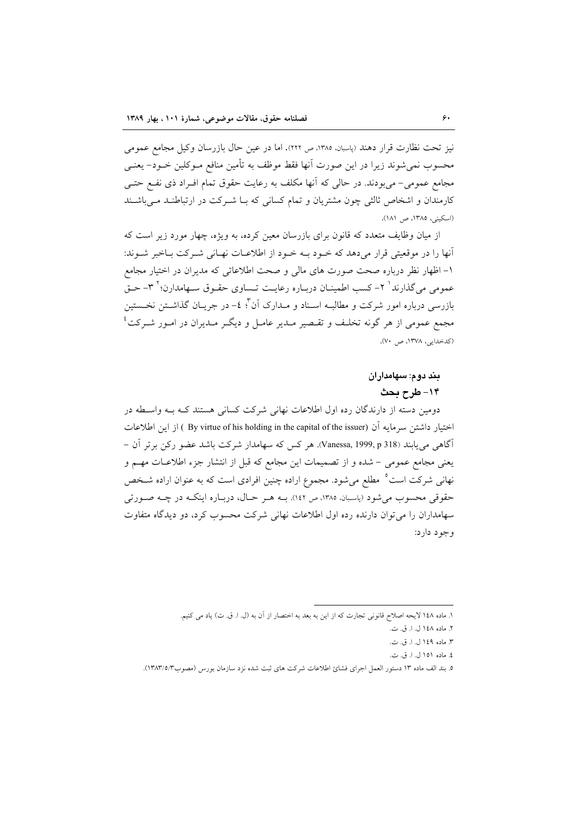نیز تحت نظارت قرار دهند (پاسبان، ۱۳۸۵، ص ۲۲۲). اما در عین حال بازرسان وکیل مجامع عمومی محسوب نمی شوند زیرا در این صورت آنها فقط موظف به تأمین منافع مـوکلین خــود– یعنــی مجامع عمومی- می بودند. در حالی که آنها مکلف به رعایت حقوق تمام افـراد ذی نفـع حتـی کارمندان و اشخاص ثالثی چون مشتریان و تمام کسانی که بـا شـرکت در ارتباطنـد مـ ٍ باشـند (اسكيني، ١٣٨٥، ص ١٨١).

از میان وظایف متعدد که قانون برای بازرسان معین کرده، به ویژه، چهار مورد زیر است که آنها را در موقعیتی قرار می دهد که خـود بـه خـود از اطلاعـات نهـانی شـرکت بـاخبر شـوند: ۱- اظهار نظر درباره صحت صورت های مالی و صحت اطلاعاتی که مدیران در اختیار مجامع عمومی می گذارند<sup>\</sup> ۲– کسب اطمینــان دربــاره رعایــت تــساوی حقــوق ســهامدارن؛<sup>۲ ۳</sup>– حــق بازرسی درباره امور شرکت و مطالبـه اسـناد و مــدارک آن ٌ'؛ ٤– در جریــان گذاشــتن نخــستین مجمع عمومی از هر گونه تخلف و تقبصر مبدیر عامبل و دیگیر مبدیران در امبور شیرکت<sup>؛</sup> (کدخدایی، ۱۳۷۸، ص ۷۰).

# بند دوم: سهامداران ۱۴- طرح بحث

دومین دسته از دارندگان رده اول اطلاعات نهانی شرکت کسانی هستند کـه بـه واسـطه در اختيار داشتن سرمايه آن (By virtue of his holding in the capital of the issuer ) از اين اطلاعات آگاهی می یابند (Vanessa, 1999, p 318). هر کس که سهامدار شرکت باشد عضو رکن برتر آن – يعني مجامع عمومي – شده و از تصميمات اين مجامع كه قبل از انتشار جزء اطلاعـات مهــم و نهانی شرکت است<sup>ه</sup> مطلع میشود. مجموع اراده چنین افرادی است که به عنوان اراده شـخص حقوقي محسوب مي شود (پاسيان، ١٣٨٥، ص ١٤٢). بــه هــر حــال، دربــاره اينكــه در چــه صــورتي سهامداران را می توان دارنده رده اول اطلاعات نهانی شرکت محسوب کرد، دو دیدگاه متفاوت و جو د دار د:

٤. ماده ١٥١ ل. ا. ق. ت.

١. ماده ١٤٨ لايحه اصلاح قانوني تجارت كه از اين به بعد به اختصار از آن به (ل. ا. ق. ت) ياد مي كنيم.

٢. ماده ١٤٨ ل. ا. ق. ت.

٣. ماده ١٤٩ ل. ا. ق. ت.

٥. بند الف ماده ١٣ دستور العمل اجراى فشائ اطلاعات شركت هاى ثبت شده نزد سازمان بورس (مصوب١٣٨٣/٥/٣).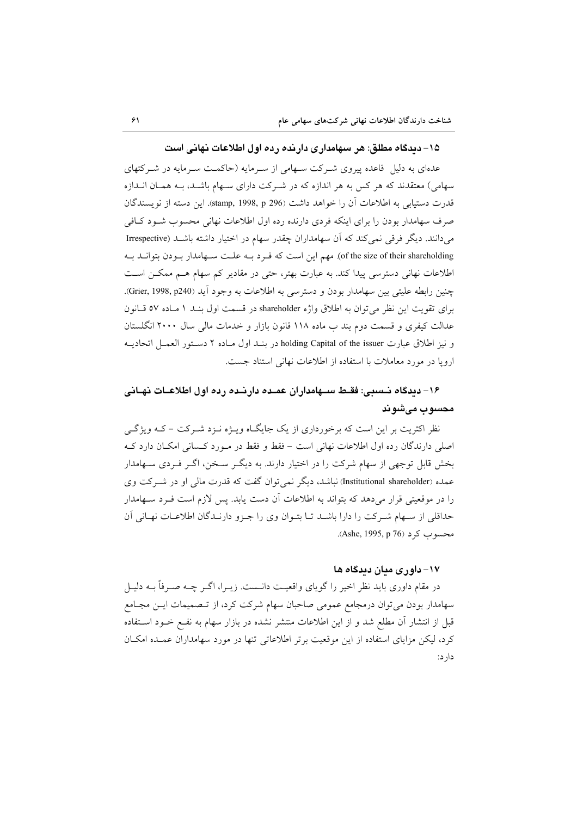#### ۱۵– دیدگاه مطلق: هر سهامداری دارنده رده اول اطلاعات نهانی است

عدهای به دلیل قاعده پیروی شـرکت سـهامی از سـرمایه (حاکمـت سـرمایه در شـرکتهای سهامی) معتقدند که هر کس به هر اندازه که در شـرکت دارای سـهام باشـد، بـه همـان انـدازه قدرت دستیابی به اطلاعات آن را خواهد داشت (stamp, 1998, p 296). این دسته از نویسندگان صرف سهامدار بودن را برای اینکه فردی دارنده رده اول اطلاعات نهانی محسوب شـود کـافی می دانند. دیگر فرقی نمی کند که آن سهامداران چقدر سهام در اختیار داشته باشـد (Irrespective of the size of their shareholding). مهم این است که فـرد بـه علـت سـهامدار بـودن بتوانــد بـه اطلاعات نهانی دسترسی پیدا کند. به عبارت بهتر، حتی در مقادیر کم سهام هـم ممکـن اسـت چنين رابطه عليتي بين سهامدار بودن و دسترسي به اطلاعات به وجود آيد (Grier, 1998, p240). برای تقویت این نظر می توان به اطلاق واژه shareholder در قسمت اول بنـد ١ مـاده ٥٧ قـانون عدالت کیفری و قسمت دوم بند ب ماده ۱۱۸ قانون بازار و خدمات مالی سال ۲۰۰۰ انگلستان و نيز اطلاق عبارت holding Capital of the issuer در بنـد اول مـاده ٢ دسـتور العمـل اتحاديـه ارویا در مورد معاملات با استفاده از اطلاعات نهانی استناد جست.

# ۱۶– دیدگاه نــسبی: فقــط ســهامداران عمــده دارنــده رده اول اطلاعــات نهــانی محسوب مىشوند

نظر اکثریت بر این است که برخورداری از یک جایگـاه ویــژه نــزد شــرکت – کــه ویژگــی اصلی دارندگان رده اول اطلاعات نهانی است – فقط و فقط در مـورد کـسانی امکـان دارد کـه بخش قابل توجهی از سهام شرکت را در اختیار دارند. به دیگـر سـخن، اگـر فـردی سـهامدار عمده (Institutional shareholder) نباشد، دیگر نمی توان گفت که قدرت مالی او در شــرکت وی را در موقعیتی قرار میدهد که بتواند به اطلاعات آن دست یابد. پس لازم است فـرد سـهامدار حداقلي از سهام شركت را دارا باشد تا بتوان وي را جزو دارنـدگان اطلاعـات نهـاني آن محسوب كرد (Ashe, 1995, p 76).

#### ۱۷– داوری مدان دیدگاه ها

در مقام داوری باید نظر اخیر را گویای واقعیت دانــست. زیــرا، اگــر چــه صــرفاً بــه دلیــل سهامدار بودن می توان درمجامع عمومی صاحبان سهام شرکت کرد، از تـصميمات ايـن مجـامع قبل از انتشار آن مطلع شد و از این اطلاعات منتشر نشده در بازار سهام به نفـع خــود اســتفاده کرد، لیکن مزایای استفاده از این موقعیت برتر اطلاعاتی تنها در مورد سهامداران عمـده امکـان دار د: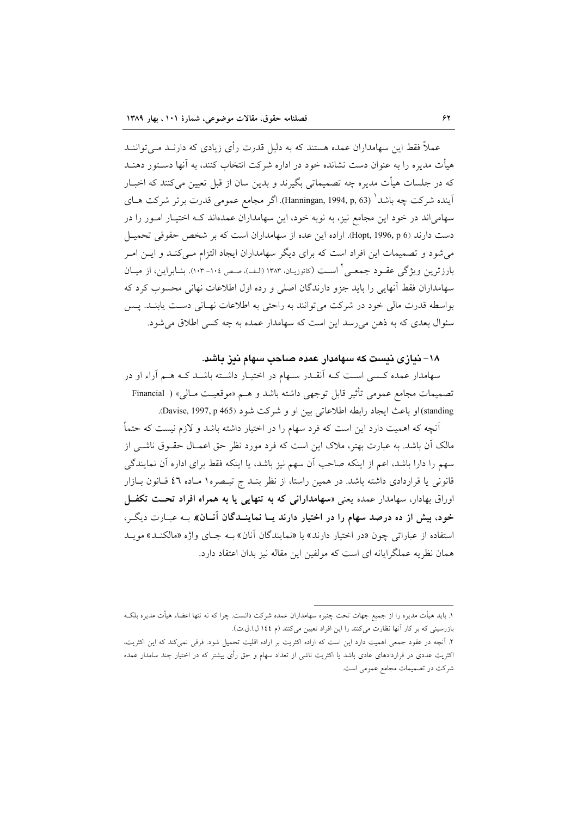عملاً فقط این سهامداران عمده هستند که به دلیل قدرت رأی زیادی که دارنـد مـی تواننـد هیأت مدیره را به عنوان دست نشانده خود در اداره شرکت انتخاب کنند، به آنها دستور دهنــد که در جلسات هیأت مدیره چه تصمیماتی بگیرند و بدین سان از قبل تعیین میکنند که اخبـار اَیندہ شرکت چه باشد ٰ (Hanningan, 1994, p, 63). اگر مجامع عمومی قدرت برتر شرکت ہـای سهامیاند در خود این مجامع نیز، به نوبه خود، این سهامداران عمدهاند کـه اختیـار امـور را در دست دارند (Hopt, 1996, p 6). اراده این عده از سهامداران است که بر شخص حقوقی تحمیـل می شود و تصمیمات این افراد است که برای دیگر سهامداران ایجاد التزام مـیکنـد و ایـن امـر بارزترین ویژگی عقـود جمعـی ٔ اسـت (کاتوزیـان، ۱۳۸۳ (الـف)، صـص ۱۰۷- ۱۰۳). بنــابراین، از میــان سهامداران فقط آنهایی را باید جزو دارندگان اصلی و رده اول اطلاعات نهانی محسوب کرد که بواسطه قدرت مالي خود در شركت مي توانند به راحتي به اطلاعات نهـاني دسـت يابنـد. پـس سئوال بعدي كه به ذهن مي رسد اين است كه سهامدار عمده به چه كسى اطلاق مى شود.

#### ۱۸– نیازی نیست که سهامدار عمده صاحب سهام نیز باشد.

سهامدار عمده کسی است کـه آنقـدر سـهام در اختیـار داشـته باشـد کـه هـم آراء او در تصميمات مجامع عمومي تأثير قابل توجهي داشته باشد و هـم «موقعيـت مـالي» ( Financial standing) او باعث ايجاد رابطه اطلاعاتي بين او و شركت شود (Davise, 1997, p 465).

اّنچه که اهمیت دارد این است که فرد سهام را در اختیار داشته باشد و لازم نیست که حتماً مالک آن باشد. به عبارت بهتر، ملاک این است که فرد مورد نظر حق اعمـال حقــوق ناشــی از سهم را دارا باشد، اعم از اینکه صاحب آن سهم نیز باشد، یا اینکه فقط برای اداره آن نمایندگی قانونی یا قراردادی داشته باشد. در همین راستا، از نظر بنـد ج تبـصره١ مـاده ٤٦ قـانون بـازار اوراق بهادار، سهامدار عمده یعنی «**سهامدارانی که به تنهایی یا به همراه افراد تحت تکفل** خود، بیش از ده درصد سهام را در اختیار دارند یـا نماینــدگان آنــان» بـه عبـارت دیگـر، استفاده از عباراتی چون «در اختیار دارند» یا «نمایندگان آنان» بـه جـای واژه «مالکنـد» مویـد همان نظریه عملگرایانه ای است که مولفین این مقاله نیز بدان اعتقاد دارد.

۱. باید هیأت مدیره را از جمیع جهات تحت چنبره سهامداران عمده شرکت دانست. چرا که نه تنها اعضاء هیأت مدیره بلکـه بازرسینی که بر کار آنها نظارت میکنند را این افراد تعیین میکنند (م ١٤٤ ل.ا.ق.ت).

۲. آنچه در عقود جمعی اهمیت دارد این است که اراده اکثریت بر اراده اقلیت تحمیل شود. فرقی نمیکند که این اکثریت، اکثریت عددی در قراردادهای عادی باشد یا اکثریت ناشی از تعداد سهام و حق رأی بیشتر که در اختیار چند سامدار عمده شرکت در تصمیمات مجامع عمومی است.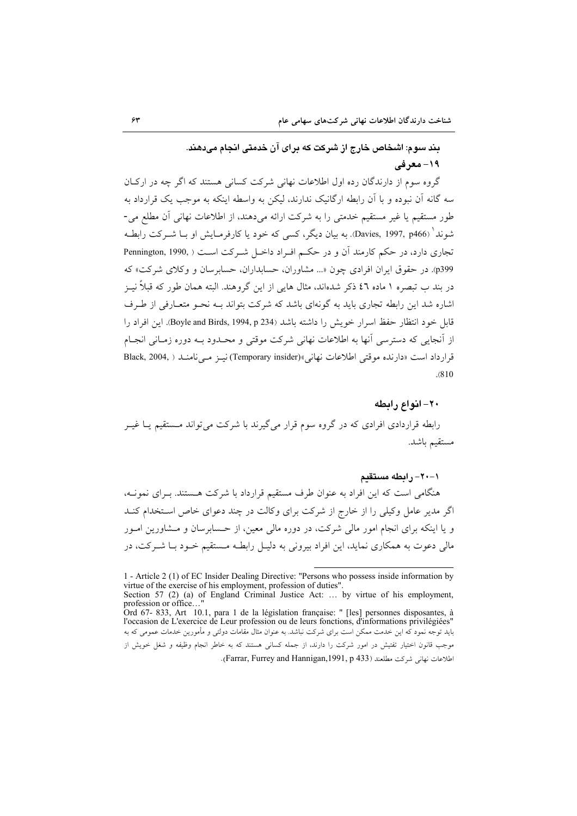# بند سوم: اشخاص خارج از شرکت که برای آن خدمتی انجام میدهند. ۱۹- معرفی

گروه سوم از دارندگان رده اول اطلاعات نهانی شرکت کسانی هستند که اگر چه در ارکیان سه گانه آن نبوده و با آن رابطه ارگانیک ندارند، لیکن به واسطه اینکه به موجب یک قرارداد به طور مستقیم یا غیر مستقیم خدمتی را به شرکت ارائه میدهند، از اطلاعات نهانی آن مطلع می-شوند ٰ (Davies, 1997, p466). به بیان دیگر، کسی که خود یا کارفرمـایش او بــا شــرکت رابطــه تجاری دارد، در حکم کارمند آن و در حکـم افـراد داخـل شـرکت اسـت ( Pennington, 1990, p399). در حقوق ایران افرادی چون «... مشاوران، حسابداران، حسابرسان و وکلای شرکت» که در بند ب تبصره ۱ ماده ٤٦ ذکر شدهاند، مثال هایی از این گروهند. البته همان طور که قبلاً نیــز اشاره شد این رابطه تجاری باید به گونهای باشد که شرکت بتواند بـه نحـو متعـارفی از طـرف قابل خود انتظار حفظ اسرار خويش را داشته باشد (Boyle and Birds, 1994, p 234). اين افراد را از آنجابی که دسترسی آنها به اطلاعات نهانی شرکت موقتی و محـدود بـه دوره زمـانی انجـام قرار داد است «دارنده موقتی اطلاعات نهانی»(Temporary insider)نینز مے نامنید ( Black, 2004,  $. (810)$ 

#### ٢٠- انواع رابطه

رابطه قراردادی افرادی که در گروه سوم قرار می گیرند با شرکت می تواند مستقیم پــا غیــر مستقيم باشد.

#### ١-٢٠- رابطه مستقىم

هنگامی است که این افراد به عنوان طرف مستقیم قرارداد با شرکت هستند. بـرای نمونـه، اگر مدیر عامل وکیلی را از خارج از شرکت برای وکالت در چند دعوای خاص استخدام کنــد و یا اینکه برای انجام امور مالی شرکت، در دوره مالی معین، از حسابرسان و مـشاورین امـور مالی دعوت به همکاری نماید، این افراد بیرونی به دلیـل رابطـه مـستقیم خــود بــا شــرکت، در

اطلاعات نهاني شركت مطلعند (Farrar, Furrey and Hannigan, 1991, p 433).

<sup>1 -</sup> Article 2 (1) of EC Insider Dealing Directive: "Persons who possess inside information by virtue of the exercise of his employment, profession of duties".<br>Section 57 (2) (a) of England Criminal Justice Act: ... by virtue of his employment,

profession or office...

Ord 67- 833, Art 10.1, para 1 de la législation française: " [les] personnes disposantes, à l'occasion de L'exercice de Leur profession ou de leurs fonctions, d'informations privilégiées' باید توجه نمود که این خدمت ممکن است برای شرکت نباشد. به عنوان مثال مقامات دولتی و مأمورین خدمات عمومی که به موجب قانون اختیار تفتیش در امور شرکت را دارند، از جمله کسانی هستند که به خاطر انجام وظیفه و شغل خویش از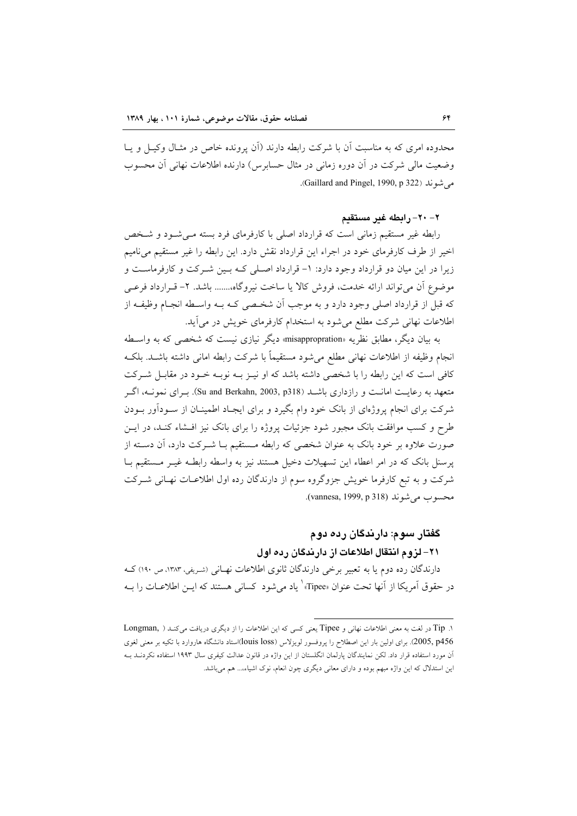محدوده امری که به مناسبت آن با شرکت رابطه دارند (آن پرونده خاص در مثـال وکیـل و پـا وضعیت مالی شرکت در آن دوره زمانی در مثال حسابرس) دارنده اطلاعات نهانی آن محسوب مر شوند (Gaillard and Pingel, 1990, p 322).

٢- ٢٠- رابطه غير مستقيم

رابطه غیر مستقیم زمانی است که قرارداد اصلی با کارفرمای فرد بسته مـیشـود و شـخص اخير از طرف كارفرماي خود در اجراء اين قرارداد نقش دارد. اين رابطه را غير مستقيم مي ناميم زیرا در این میان دو قرارداد وجود دارد: ١- قرارداد اصلی کـه بـین شـرکت و کارفرماسـت و موضوع أن مي تواند ارائه خدمت، فروش كالا يا ساخت نيروگاه....... باشد. ٢- قـرارداد فرعـي که قبل از قرارداد اصلی وجود دارد و به موجب آن شخصی کـه بـه واسـطه انجـام وظیفـه از اطلاعات نهانی شرکت مطلع می شود به استخدام کارفرمای خویش در می آید.

به بیان دیگر، مطابق نظریه «misappropration» دیگر نیازی نیست که شخصبی که به واسـطه انجام وظيفه از اطلاعات نهاني مطلع مي شود مستقيماً با شركت رابطه اماني داشته باشـد. بلكـه کافی است که این رابطه را با شخصی داشته باشد که او نیـز بـه نوبـه خـود در مقابـل شـرکت متعهد به رعایـت امانــت و رازداری باشــد (Su and Berkahn, 2003, p318). بــرای نمونــه، اگــر شرکت برای انجام پروژهای از بانک خود وام بگیرد و برای ایجـاد اطمینـان از ســودآور بــودن طرح و کسب موافقت بانک مجبور شود جزئیات پروژه را برای بانک نیز افـشاء کنـد، در ایــن صورت علاوه بر خود بانک به عنوان شخصی که رابطه مستقیم بـا شـرکت دارد، آن دسـته از پرسنل بانک که در امر اعطاء این تسهیلات دخیل هستند نیز به واسطه رابطـه غیـر مـستقیم بـا شرکت و به تبع کارفرما خویش جزوگروه سوم از دارندگان رده اول اطلاعـات نهـانی شـرکت محسوب مي شوند (vannesa, 1999, p 318).

# گفتار سوم: دارندگان رده دوم ٢١- لزوم انتقال اطلاعات از دارندگان رده اول

دارندگان رده دوم یا به تعبیر برخی دارندگان ثانوی اطلاعات نهـانی (شـریفی، ۱۳۸۳، ص ۱۹۰) کــه در حقوق آمريكا از آنها تحت عنوان «Tipee»' ياد مي شود كساني هستند كه ايــن اطلاعــات را بــه

۱. Tip در لغت به معنی اطلاعات نهانی و Tipee یعنی کسی که این اطلاعات را از دیگری دریافت میکند ( ,Longman 2005, p456). برای اولین بار این اصطلاح را پروفسور لویزلاس (louis loss)استاد دانشگاه هاروارد با تکیه بر معنی لغوی آن مورد استفاده قرار داد. لكن نمايندگان پارلمان انگلستان از اين واژه در قانون عدالت كيفرى سال ۱۹۹۳ استفاده نكردنــد بــه این استدلال که این واژه مبهم بوده و دارای معانی دیگری چون انعام، نوک اشیاء،... هم میباشد.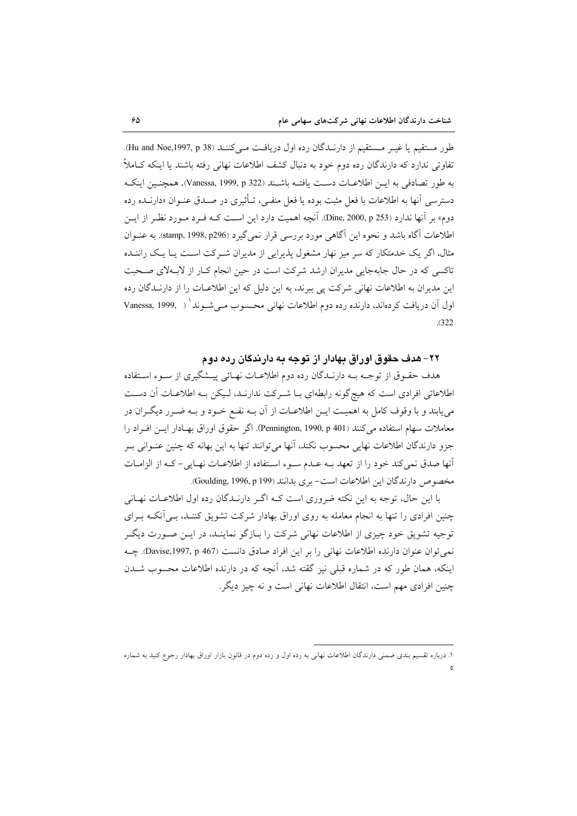طور مستقيم يا غيـر مـستقيم از دارنـدگان رده اول دريافـت مـي كننـد (Hu and Noe,1997, p 38). تفاوتی ندارد که دارندگان رده دوم خود به دنبال کشف اطلاعات نهانی رفته باشند یا اینکه کـاملاً به طور تصادفي به اين اطلاعــات دســت يافتــه باشــند (Vanessa, 1999, p 322). همچنــين اينكــه دسترسی آنها به اطلاعات با فعل مثبت بوده یا فعل منفے، تـأثیری در صـدق عنـوان «دارنــده رده دوم» بر آنها ندارد (Dine, 2000, p 253). آنچه اهمیت دارد این اســت کــه فــرد مــورد نظـر از ایــن اطلاعات آگاه باشد و نحوه این آگاهی مورد بررسی قرار نمی گیرد (stamp, 1998, p296). به عنـوان مثال، اگر یک خدمتکار که سر میز نهار مشغول پذیرایی از مدیران شـرکت اسـت پــا یــک راننــده تاکسی که در حال جابهجایی مدیران ارشد شرکت است در حین انجام کـار از لابـهلای صـحبت این مدیران به اطلاعات نهانی شرکت پی ببرند، به این دلیل که این اطلاعـات را از دارنــدگان رده اول آن دریافت کردهاند، دارنده رده دوم اطلاعات نهانی محسوب مے شـوند ( , Vanessa, 1999  $(322)$ 

#### ۲۲– هدف حقوق اوراق بهادار از توجه به دارندگان رده دوم

هدف حقـوق از توجـه بـه دارنـدگان رده دوم اطلاعـات نهـائي پيــشگيري از سـوء اسـتفاده اطلاعاتی افرادی است که هیچ گونه رابطهای بـا شـرکت ندارنـد، لـیکن بـه اطلاعـات آن دسـت می یابند و با وقوف کامل به اهمیـت ایــن اطلاعــات از آن بــه نفــع خــود و بــه ضــر ر دیگــران در معاملات سهام استفاده می کنند (Pennington, 1990, p 401). اگر حقوق اوراق بهـادار ایــن افـراد را جزو دارندگان اطلاعات نهایی محسوب نکند، آنها میتوانند تنها به این بهانه که چنین عنـوانی بـر أنها صدق نمي كند خود را از تعهد بـه عـدم سـوء اسـتفاده از اطلاعـات نهـايي- كـه از الزامـات مخصوص دارندگان این اطلاعات است- بری بدانند (Goulding, 1996, p 199).

با این حال، توجه به این نکته ضروری است کـه اگـر دارنــدگان رده اول اطلاعــات نهــانی چنین افرادی را تنها به انجام معامله به روی اوراق بهادار شرکت تشویق کننـد، بـی آنکـه بـرای توجیه تشویق خود چیزی از اطلاعات نهانی شرکت را بـازگو نماینـد، در ایــن صــورت دیگــر نمي توان عنوان دارنده اطلاعات نهاني را بر اين افراد صادق دانست (Davise,1997, p 467). چـه اینکه، همان طور که در شماره قبلی نیز گقته شد، آنچه که در دارنده اطلاعات محسوب شــدن چنین افرادی مهم است، انتقال اطلاعات نهانی است و نه چیز دیگر.

۱. درباره تقسیم بندی ضمنی دارندگان اطلاعات نهانی به رده اول و رده دوم در قانون بازار اوراق بهادار رجوع کنید به شماره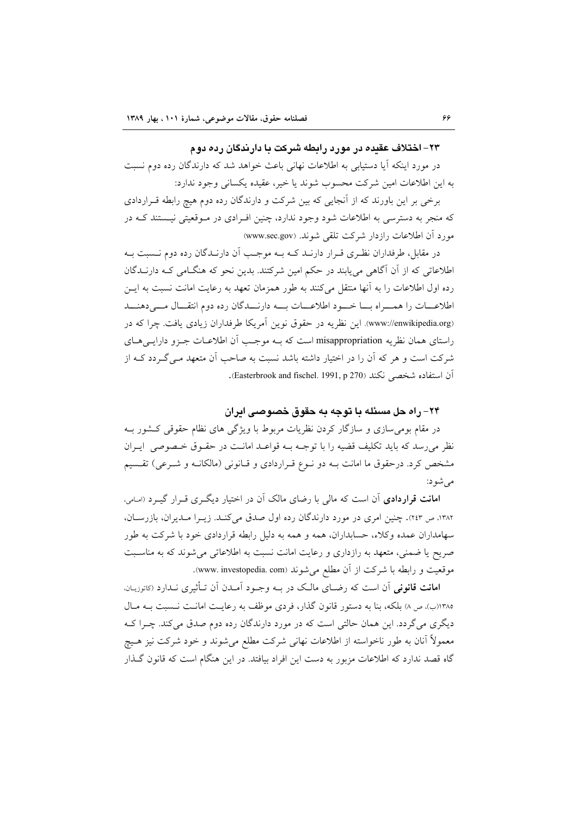#### ۲۳– اختلاف عقده در مورد رابطه شرکت با دارندگان رده دوم

در مورد اینکه آیا دستیابی به اطلاعات نهانی باعث خواهد شد که دارندگان رده دوم نسبت به این اطلاعات امین شرکت محسوب شوند یا خیر، عقیده یکسانی وجود ندارد:

برخی بر این باورند که از آنجایی که بین شرکت و دارندگان رده دوم هیچ رابطه قـراردادی که منجر به دسترسی به اطلاعات شود وجود ندارد، چنین افـرادی در مـوقعیتی نیـستند کـه در مورد أن اطلاعات رازدار شركت تلقى شوند. (www.sec.gov)

در مقابل، طرفداران نظـري قـرار دارنــد كــه بــه موجــب آن دارنــدگان رده دوم نــسبت بــه اطلاعاتی که از آن آگاهی می یابند در حکم امین شرکتند. بدین نحو که هنگامی کـه دارنــدگان رده اول اطلاعات را به آنها منتقل می کنند به طور همزمان تعهد به رعایت امانت نسبت به ایــز اطلاعــات را همـــراه بـــا خـــود اطلاعـــات بـــه دارنـــدگان رده دوم انتقـــال مـــى دهنـــد (www://enwikipedia.org). این نظریه در حقوق نوین آمریکا طرفداران زیادی یافت. چرا که در راستای همان نظریه misappropriation است که بــه موجـب آن اطلاعــات جــزو دارایــی۵حـای شرکت است و هر که آن را در اختیار داشته باشد نسبت به صاحب آن متعهد مـی گـردد کـه از آن استفاده شخصی نکند (Easterbrook and fischel. 1991, p 270).

### ٢۴- راه حل مسئله يا توجه به حقوق خصوصي ابران

در مقام بومی سازی و سازگار کردن نظریات مربوط با ویژگی های نظام حقوقی کشور بـه نظر می رسد که باید تکلیف قضیه را با توجـه بـه قواعـد امانـت در حقـوق خـصوصی ایـران مشخص کرد. درحقوق ما امانت بـه دو نـوع قـراردادي و قـانوني (مالکانـه و شـرعي) تقـسيم می شو د:

ا**مانت قراردادی** آن است که مال<sub>ی</sub> با رضای مالک آن در اختیار دیگـری قـرار گیـرد (اسامی، ۱۳۸۲، ص ۲٤۳). چنین امری در مورد دارندگان رده اول صدق میکند. زیـرا مـدیران، بازرسـان، سهامداران عمده وكلاء، حسابداران، همه و همه به دليل رابطه قراردادي خود با شركت به طور صریح یا ضمنی، متعهد به رازداری و رعایت امانت نسبت به اطلاعاتی می شوند که به مناسبت موقعیت و رابطه با شرکت از آن مطلع می شوند (www. investopedia. com).

**امانت قانونی** آن است که رضـای مالـک در بـه وجـود آمـدن آن تـأثیری نـدارد (کاتوزیـان. ١٣٨٥(ب)، ص ٨) بلكه، بنا به دستور قانون گذار، فردي موظف به رعايت امانت نـسبت بـه مـال دیگری می گردد. این همان حالتی است که در مورد دارندگان رده دوم صدق می کند. چـرا کـه معمولاً آنان به طور ناخواسته از اطلاعات نهانی شرکت مطلع می شوند و خود شرکت نیز هـیچ گاه قصد ندارد که اطلاعات مزبور به دست این افراد بیافتد. در این هنگام است که قانون گـذار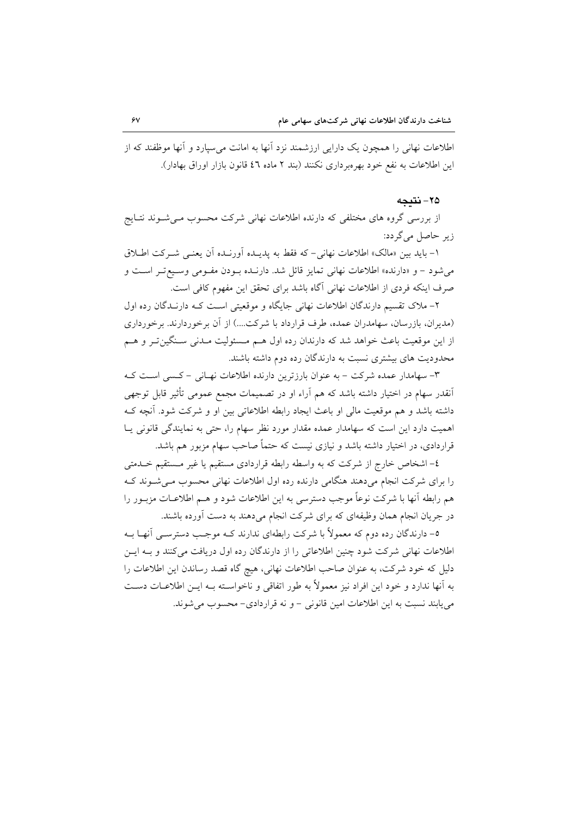اطلاعات نهانی را همچون یک دارایی ارزشمند نزد آنها به امانت می سیارد و آنها موظفند که از این اطلاعات به نفع خود بهرهبرداری نکنند (بند ۲ ماده ٤٦ قانون بازار اوراق بهادار).

٢٥- نتىجە

از بررسی گروه های مختلفی که دارنده اطلاعات نهانی شرکت محسوب مـیشـوند نتـایج زیر حاصل می گردد:

١- بايد بين «مالك» اطلاعات نهاني-كه فقط به پديـده آورنـده آن يعنـي شـركت اطـلاق می شود – و «دارنده» اطلاعات نهانی تمایز قائل شد. دارنـده بـودن مفـومی وسـیع تـر اسـت و صرف اینکه فردی از اطلاعات نهانی آگاه باشد برای تحقق این مفهوم کافی است.

۲– ملاک تقسیم دارندگان اطلاعات نهانی جایگاه و موقعیتی است کـه دارنــدگان رده اول (مدیران، بازرسان، سهامدران عمده، طرف قرارداد با شرکت....) از آن برخوردارند. برخورداری از این موقعیت باعث خواهد شد که دارندان رده اول هـم مـسئولیت مـدنی سـنگینتـر و هـم محدودیت های بیشتری نسبت به دارندگان رده دوم داشته باشند.

۳- سهامدار عمده شرکت – به عنوان بارزترین دارنده اطلاعات نهـانی – کـسی اسـت کـه اَنقدر سهام در اختیار داشته باشد که هم اَراء او در تصمیمات مجمع عمومی تأثیر قابل توجهی داشته باشد و هم موقعیت مالی او باعث ایجاد رابطه اطلاعاتی بین او و شرکت شود. آنچه ک اهمیت دارد این است که سهامدار عمده مقدار مورد نظر سهام را، حتی به نمایندگی قانونی یـا قراردادی، در اختیار داشته باشد و نیازی نیست که حتماً صاحب سهام مزبور هم باشد.

٤– اشخاص خارج از شركت كه به واسطه رابطه قراردادي مستقيم يا غير مـستقيم خــدمتبي را برای شرکت انجام میدهند هنگامی دارنده رده اول اطلاعات نهانی محسوب میشوند ک هم رابطه آنها با شرکت نوعاً موجب دسترسی به این اطلاعات شود و هــم اطلاعــات مزبــور را در جریان انجام همان وظیفهای که برای شرکت انجام میدهند به دست آورده باشند.

٥– دارندگان رده دوم که معمولاً با شرکت رابطهای ندارند کــه موجــب دسترســی آنهــا بــه اطلاعات نهانی شرکت شود چنین اطلاعاتی را از دارندگان رده اول دریافت می کنند و بـه ایـن دلیل که خود شرکت، به عنوان صاحب اطلاعات نهانی، هیچ گاه قصد رساندن این اطلاعات را به آنها ندارد و خود این افراد نیز معمولاً به طور اتفاقی و ناخواسـته بــه ایــن اطلاعــات دســت می یابند نسبت به این اطلاعات امین قانونی – و نه قراردادی– محسوب می شوند.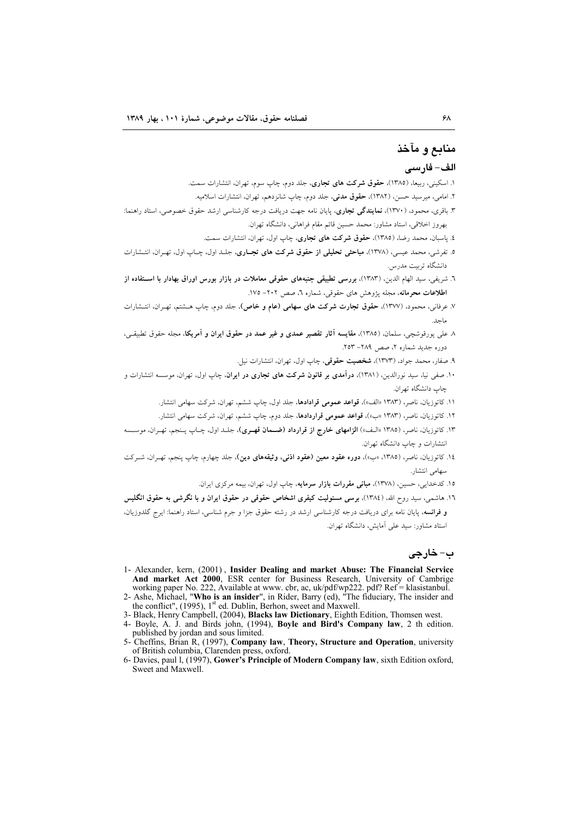# منابع و مآخذ

#### الف- فارسي

- ۱. اسکینی، ربیعا، (۱۳۸۵)، حقوق شرکت های تجاری، جلد دوم، چاپ سوم، تهران، انتشارات سمت.
- ۲. امامی، میرسید حسن، (۱۳۸۲)، حقوق مدنی، جلد دوم، چاپ شانزدهم، تهران، انتشارات اسلامیه.
- ۳. باقری، محمود، (۱۳۷۰)، **نمایندگی تجاری**، پایان نامه جهت دریافت درجه کارشناسی ارشد حقوق خصوصی، استاد راهنما: بهروز اخلاقي، استاد مشاور: محمد حسين قائم مقام فراهاني، دانشگاه تهران.
	- ٤. پاسبان، محمد رضا، (١٣٨٥)، حقوق شرکت های تجاری، چاپ اول، تهران، انتشارات سمت.
- ۵. تفرشی، محمد عیسی، (۱۳۷۸)، م**باحثی تحلیلی از حقوق شرکت های تجـاری**، جلـد اول، چـاب اول، تهـران، انتـشارات دانشگاه تربیت مدرس.
- .<br>٦. شريفي، سيد الهام الدين، (١٣٨٣)، بررسي تطبيقي جنبههاي حقوقي معاملات در بازار بورس اوراق بهادار با اســتفاده از اطلاعات محرمانه، مجله پژوهش های حقوقی، شماره ٦، صص ٢٠٢– ١٧٥.
- ٧. عرفانی، محمود، (١٣٧٧)، حقوق تجارت شرکت های سهامی (عام و خاص)، جلد دوم، چاپ هــشتم، تهـران، انتــشارات ماحد.
- ۸ علی پورقوشچی، سلمان، (۱۳۸۵)، مقایسه آثار تقصیر عمدی و غیر عمد در حقوق ایران و آمریکا، مجله حقوق تطبیقی، دوره جدید شماره ۲، صص ۲۸۹- ۲۵۳.
	- ۹. صفار، محمد جواد، (۱۳۷۳)، **شخصیت حقوقی**، چاپ اول، تهران، انتشارات نیل.
- ۱۰. صفی نیا، سید نورالدین، (۱۳۸۱)، **درآمدی بر قانون شرکت های تجاری در ایران**، چاپ اول، تهران، موسسه انتشارات و حاب دانشگاه ته ان.
	- .<br>١١. كاتوزيان، ناصر، (١٣٨٣ «الف»)، قواعد عمومي قرادادها، جلد اول، جاب ششم، تهران، شركت سهامي انتشار.
	- ۱۲. کاتوزیان، ناصر، (۱۳۸۳ «ب»)، قواعد عمومی قراردادها، جلد دوم، چاپ ششم، تهران، شرکت سهامی انتشار.
- ۱۳. کاتوزیان، ناصر، (۱۳۸۵ «الـف») **الزامهای خارج از قرارداد (ضــمان قهـری**)، جلـد اول، چـاپ پـنجم، تهـران، موســسه انتشارات و چاپ دانشگاه تهران.
- ١٤. كاتوزيان، ناصر، (١٣٨٥، «ب»)، **دوره عقود معين (عقود اذني، وثيقههاي دين)**، جلد چهارم، چاپ ينجم، تهـران، شــركت سهامی انتشار.
	- ۱۵. کدخدایی، حسین، (۱۳۷۸)، **مبانی مقررات بازار سرمایه**، چاپ اول، تهران، بیمه مرکزی ایران.
- ۱٦. هاشمی، سید روح الله، (١٣٨٤)، بوسی مسئولیت کیفری اشخاص حقوقی در حقوق ایران و با نگرشی به حقوق انگلیس **و فرانسه**، پایان نامه برای دریافت درجه کارشناسی ارشد در رشته حقوق جزا و جرم شناسی، استاد راهنما: ایرج گلدوزیان، استاد مشاور: سید علی آمایش، دانشگاه تهران.

### ب- خارجي

- 1- Alexander, kern, (2001), Insider Dealing and market Abuse: The Financial Service And market Act 2000, ESR center for Business Research, University of Cambrige working paper No. 222, Available at www. cbr, ac, uk/pdf/wp222. pdf? Ref = klasistanbul.<br>2- Ashe, Michael, "Who is an insider", in Rider, Barry (ed), "The fiduciary, The insider and
- the conflict", (1995), 1<sup>st</sup> ed. Dublin, Berhon, sweet and Maxwell.
- 3- Black, Henry Campbell, (2004), Blacks law Dictionary, Eighth Edition, Thomsen west.
- 4- Boyle, A. J. and Birds john, (1994), Boyle and Bird's Company law, 2 th edition. published by jordan and sous limited.
- 5- Cheffins, Brian R, (1997), Company law, Theory, Structure and Operation, university of British columbia, Clarenden press, oxford.
- 6- Davies, paul 1, (1997), Gower's Principle of Modern Company law, sixth Edition oxford, Sweet and Maxwell.